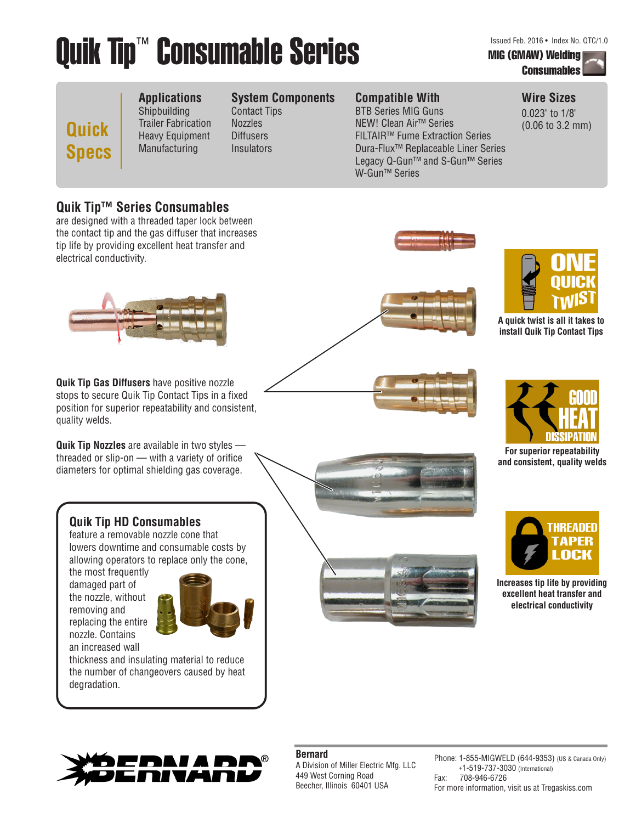# Quik Tip™ Consumable Series Manus Musical Feb. 2016 • Index No. QTC/1.0

## **Consumables**

**Quick Specs**

### **Applications** Shipbuilding

Trailer Fabrication Heavy Equipment Manufacturing Contact Tips Nozzles **Diffusers Insulators** 

### **Compatible With System Components**

BTB Series MIG Guns NEW! Clean Air™ Series FILTAIR™ Fume Extraction Series Dura-Flux™ Replaceable Liner Series Legacy Q-Gun™ and S-Gun™ Series W-Gun™ Series

## **Wire Sizes**

0.023" to 1/8" (0.06 to 3.2 mm)

## **Quik Tip™ Series Consumables**

are designed with a threaded taper lock between the contact tip and the gas diffuser that increases tip life by providing excellent heat transfer and electrical conductivity.



**Quik Tip Gas Diffusers** have positive nozzle stops to secure Quik Tip Contact Tips in a fixed position for superior repeatability and consistent, quality welds.

**Quik Tip Nozzles** are available in two styles threaded or slip-on — with a variety of orifice diameters for optimal shielding gas coverage.





**A quick twist is all it takes to install Quik Tip Contact Tips**



**For superior repeatability and consistent, quality welds**



**Increases tip life by providing excellent heat transfer and electrical conductivity**

## **Quik Tip HD Consumables**

feature a removable nozzle cone that lowers downtime and consumable costs by allowing operators to replace only the cone,

the most frequently damaged part of the nozzle, without removing and replacing the entire nozzle. Contains an increased wall



thickness and insulating material to reduce the number of changeovers caused by heat degradation.





### **Bernard**

A Division of Miller Electric Mfg. LLC 449 West Corning Road Beecher, Illinois 60401 USA

Phone: 1-855-MIGWELD (644-9353) (US & Canada Only) +1-519-737-3030 (International) Fax: 708-946-6726 For more information, visit us at Tregaskiss.com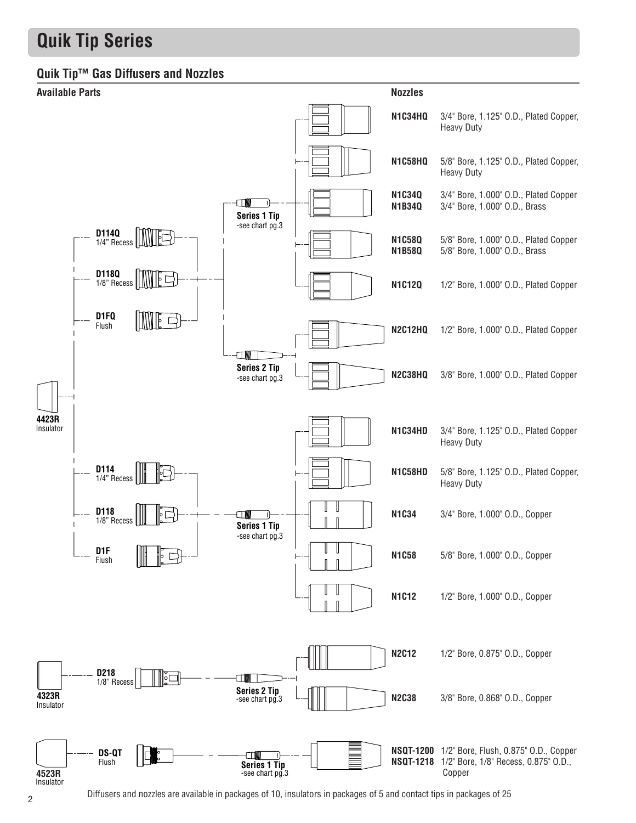## **Quik Tip Series**

## **Quik Tip™ Gas Diffusers and Nozzles**



Diffusers and nozzles are available in packages of 10, insulators in packages of 5 and contact tips in packages of 25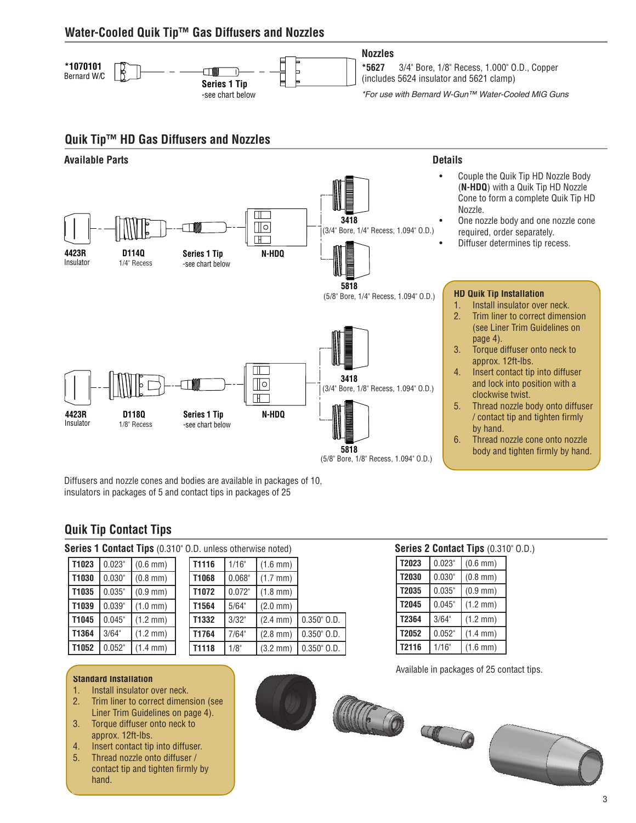## **Water-Cooled Quik Tip™ Gas Diffusers and Nozzles**



### **Quik Tip™ HD Gas Diffusers and Nozzles**



Diffusers and nozzle cones and bodies are available in packages of 10, insulators in packages of 5 and contact tips in packages of 25

## **Quik Tip Contact Tips**

| Series 1 Contact Tips (0.310" O.D. unless otherwise noted) |  |  |
|------------------------------------------------------------|--|--|
|------------------------------------------------------------|--|--|

| T1023 | 0.023" | $(0.6 \, \text{mm})$ |  |
|-------|--------|----------------------|--|
| T1030 | 0.030" | $(0.8 \, \text{mm})$ |  |
| T1035 | 0.035" | $(0.9 \, \text{mm})$ |  |
| T1039 | 0.039" | $(1.0 \, \text{mm})$ |  |
| T1045 | 0.045" | $(1.2 \, \text{mm})$ |  |
| T1364 | 3/64"  | $(1.2 \, \text{mm})$ |  |
| T1052 | 0.052" | $(1.4 \, \text{mm})$ |  |

| D. unless otherwise noted) |        |                      |                  |  |  |  |  |
|----------------------------|--------|----------------------|------------------|--|--|--|--|
| T1116                      | 1/16"  | $(1.6 \, \text{mm})$ |                  |  |  |  |  |
| T1068                      | 0.068" | $(1.7 \, \text{mm})$ |                  |  |  |  |  |
| T1072                      | 0.072" | $(1.8 \, \text{mm})$ |                  |  |  |  |  |
| T1564                      | 5/64"  | $(2.0 \, \text{mm})$ |                  |  |  |  |  |
| T1332                      | 3/32"  | $(2.4 \, \text{mm})$ | $0.350$ " $0.D.$ |  |  |  |  |
| T1764                      | 7/64"  | $(2.8 \, \text{mm})$ | $0.350"$ $0.D.$  |  |  |  |  |
| T1118                      | 1/8"   | $(3.2 \, \text{mm})$ | $0.350$ " $0.D.$ |  |  |  |  |
|                            |        |                      |                  |  |  |  |  |

## **Series 2 Contact Tips** (0.310" O.D.)

| T2023 | 0.023" | $(0.6 \, \text{mm})$ |  |  |  |  |
|-------|--------|----------------------|--|--|--|--|
| T2030 | 0.030" | $(0.8 \, \text{mm})$ |  |  |  |  |
| T2035 | 0.035" | $(0.9 \, \text{mm})$ |  |  |  |  |
| T2045 | 0.045" | $(1.2 \, \text{mm})$ |  |  |  |  |
| T2364 | 3/64"  | $(1.2 \, \text{mm})$ |  |  |  |  |
| T2052 | 0.052" | $(1.4 \, \text{mm})$ |  |  |  |  |
| T2116 | 1/16"  | $(1.6 \, \text{mm})$ |  |  |  |  |

Available in packages of 25 contact tips.



- 1. Install insulator over neck.
- 2. Trim liner to correct dimension (see Liner Trim Guidelines on page 4).
- 3. Torque diffuser onto neck to approx. 12ft-lbs.
- 4. Insert contact tip into diffuser.
- 5. Thread nozzle onto diffuser / contact tip and tighten firmly by hand.